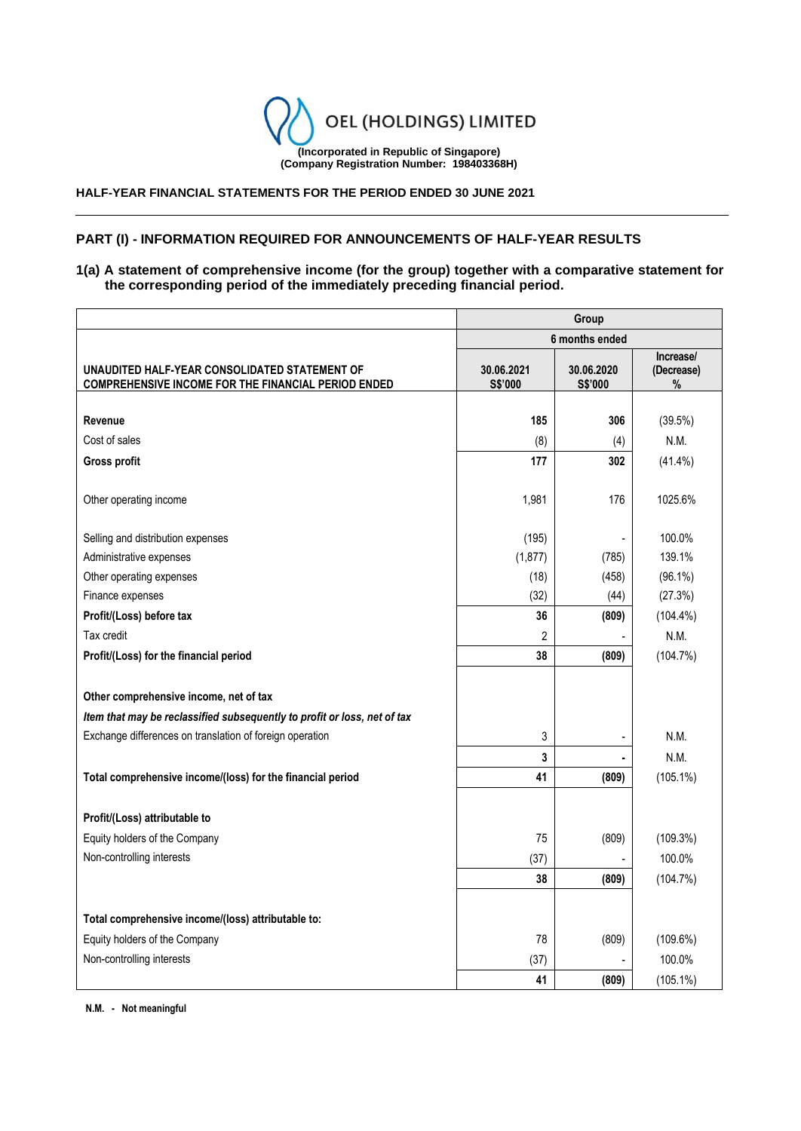

# **HALF-YEAR FINANCIAL STATEMENTS FOR THE PERIOD ENDED 30 JUNE 2021**

# **PART (I) - INFORMATION REQUIRED FOR ANNOUNCEMENTS OF HALF-YEAR RESULTS**

**1(a) A statement of comprehensive income (for the group) together with a comparative statement for the corresponding period of the immediately preceding financial period.**

|                                                                                                             | Group                        |                              |                              |  |
|-------------------------------------------------------------------------------------------------------------|------------------------------|------------------------------|------------------------------|--|
|                                                                                                             |                              | 6 months ended               |                              |  |
| UNAUDITED HALF-YEAR CONSOLIDATED STATEMENT OF<br><b>COMPREHENSIVE INCOME FOR THE FINANCIAL PERIOD ENDED</b> | 30.06.2021<br><b>S\$'000</b> | 30.06.2020<br><b>S\$'000</b> | Increase/<br>(Decrease)<br>% |  |
|                                                                                                             |                              |                              |                              |  |
| Revenue                                                                                                     | 185                          | 306                          | (39.5%)                      |  |
| Cost of sales                                                                                               | (8)                          | (4)                          | N.M.                         |  |
| <b>Gross profit</b>                                                                                         | 177                          | 302                          | $(41.4\%)$                   |  |
| Other operating income                                                                                      | 1,981                        | 176                          | 1025.6%                      |  |
| Selling and distribution expenses                                                                           | (195)                        | ÷,                           | 100.0%                       |  |
| Administrative expenses                                                                                     | (1, 877)                     | (785)                        | 139.1%                       |  |
| Other operating expenses                                                                                    | (18)                         | (458)                        | $(96.1\%)$                   |  |
| Finance expenses                                                                                            | (32)                         | (44)                         | (27.3%)                      |  |
| Profit/(Loss) before tax                                                                                    | 36                           | (809)                        | $(104.4\%)$                  |  |
| Tax credit                                                                                                  | 2                            |                              | N.M.                         |  |
| Profit/(Loss) for the financial period                                                                      | 38                           | (809)                        | (104.7%)                     |  |
| Other comprehensive income, net of tax                                                                      |                              |                              |                              |  |
| Item that may be reclassified subsequently to profit or loss, net of tax                                    |                              |                              |                              |  |
| Exchange differences on translation of foreign operation                                                    | 3                            |                              | N.M.                         |  |
|                                                                                                             | 3                            |                              | N.M.                         |  |
| Total comprehensive income/(loss) for the financial period                                                  | 41                           | (809)                        | $(105.1\%)$                  |  |
| Profit/(Loss) attributable to                                                                               |                              |                              |                              |  |
| Equity holders of the Company                                                                               | 75                           | (809)                        | (109.3%)                     |  |
| Non-controlling interests                                                                                   | (37)                         |                              | 100.0%                       |  |
|                                                                                                             | 38                           | (809)                        | (104.7%)                     |  |
|                                                                                                             |                              |                              |                              |  |
| Total comprehensive income/(loss) attributable to:                                                          |                              |                              |                              |  |
| Equity holders of the Company                                                                               | 78                           | (809)                        | (109.6%)                     |  |
| Non-controlling interests                                                                                   | (37)                         |                              | 100.0%                       |  |
|                                                                                                             | 41                           | (809)                        | $(105.1\%)$                  |  |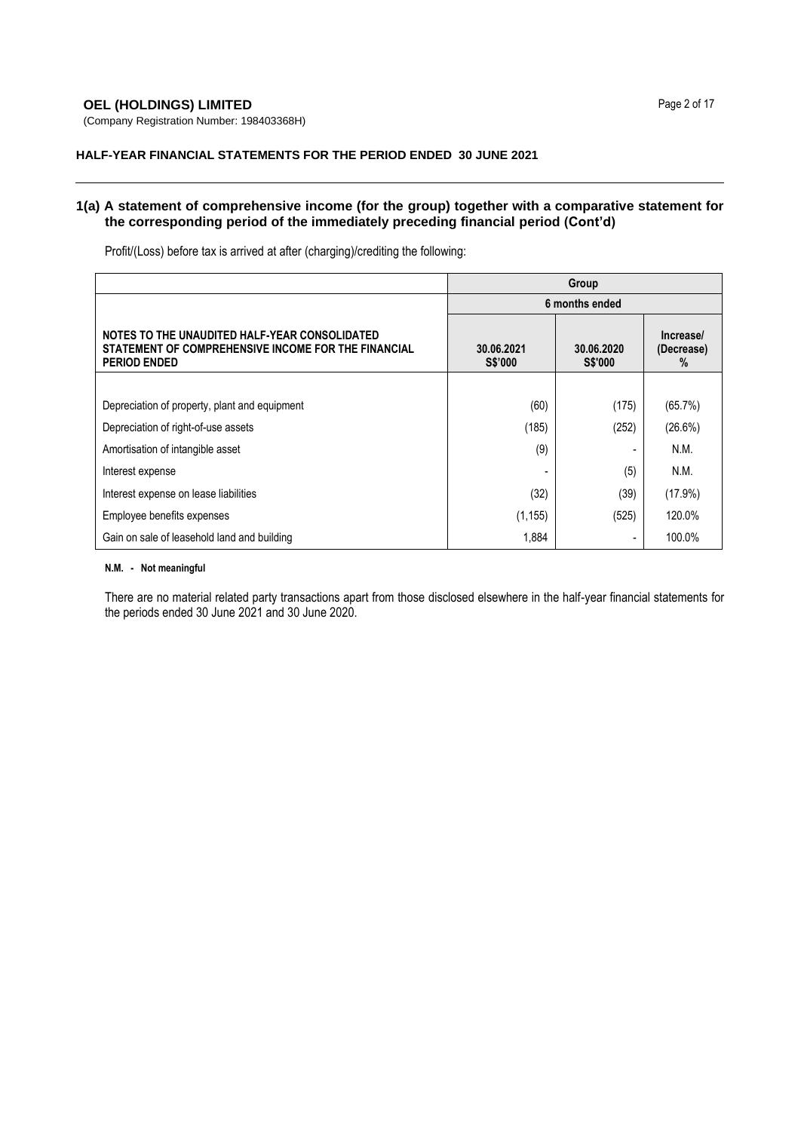(Company Registration Number: 198403368H)

# **HALF-YEAR FINANCIAL STATEMENTS FOR THE PERIOD ENDED 30 JUNE 2021**

# **1(a) A statement of comprehensive income (for the group) together with a comparative statement for the corresponding period of the immediately preceding financial period (Cont'd)**

Profit/(Loss) before tax is arrived at after (charging)/crediting the following:

|                                                                                                                             | Group                        |                              |                              |  |
|-----------------------------------------------------------------------------------------------------------------------------|------------------------------|------------------------------|------------------------------|--|
|                                                                                                                             | 6 months ended               |                              |                              |  |
| NOTES TO THE UNAUDITED HALF-YEAR CONSOLIDATED<br>STATEMENT OF COMPREHENSIVE INCOME FOR THE FINANCIAL<br><b>PERIOD ENDED</b> | 30.06.2021<br><b>S\$'000</b> | 30.06.2020<br><b>S\$'000</b> | Increase/<br>(Decrease)<br>℅ |  |
|                                                                                                                             |                              |                              |                              |  |
| Depreciation of property, plant and equipment                                                                               | (60)                         | (175)                        | $(65.7\%)$                   |  |
| Depreciation of right-of-use assets                                                                                         | (185)                        | (252)                        | $(26.6\%)$                   |  |
| Amortisation of intangible asset                                                                                            | (9)                          |                              | N.M.                         |  |
| Interest expense                                                                                                            |                              | (5)                          | N.M.                         |  |
| Interest expense on lease liabilities                                                                                       | (32)                         | (39)                         | $(17.9\%)$                   |  |
| Employee benefits expenses                                                                                                  | (1, 155)                     | (525)                        | 120.0%                       |  |
| Gain on sale of leasehold land and building                                                                                 | 1,884                        | -                            | 100.0%                       |  |

## **N.M. - Not meaningful**

There are no material related party transactions apart from those disclosed elsewhere in the half-year financial statements for the periods ended 30 June 2021 and 30 June 2020.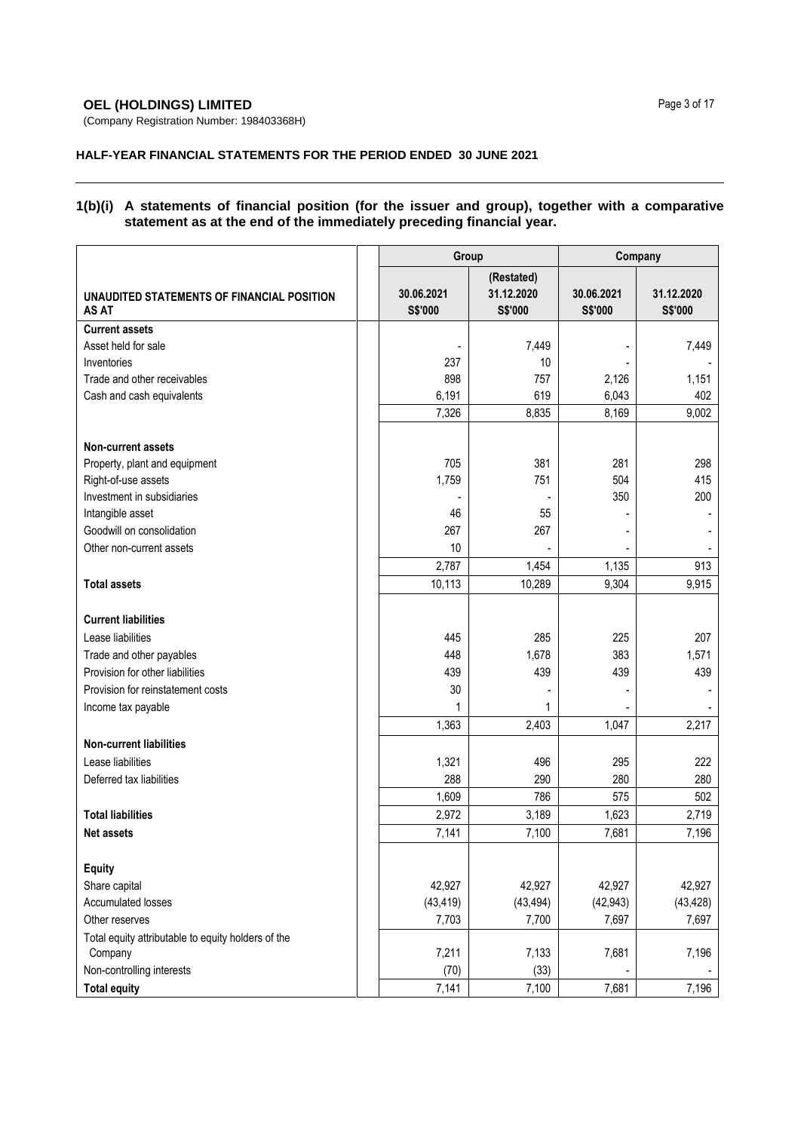# **OEL (HOLDINGS) LIMITED** Page 3 of 17

(Company Registration Number: 198403368H)

# **HALF-YEAR FINANCIAL STATEMENTS FOR THE PERIOD ENDED 30 JUNE 2021**

# **1(b)(i) A statements of financial position (for the issuer and group), together with a comparative statement as at the end of the immediately preceding financial year.**

|                                                     | Group                 |                                     | Company               |                       |  |
|-----------------------------------------------------|-----------------------|-------------------------------------|-----------------------|-----------------------|--|
| UNAUDITED STATEMENTS OF FINANCIAL POSITION<br>AS AT | 30.06.2021<br>S\$'000 | (Restated)<br>31.12.2020<br>S\$'000 | 30.06.2021<br>S\$'000 | 31.12.2020<br>S\$'000 |  |
| <b>Current assets</b>                               |                       |                                     |                       |                       |  |
| Asset held for sale                                 |                       | 7,449                               |                       | 7,449                 |  |
| Inventories                                         | 237                   | 10                                  |                       |                       |  |
| Trade and other receivables                         | 898                   | 757                                 | 2,126                 | 1,151                 |  |
| Cash and cash equivalents                           | 6,191                 | 619                                 | 6,043                 | 402                   |  |
|                                                     | 7,326                 | 8,835                               | 8,169                 | 9,002                 |  |
| <b>Non-current assets</b>                           |                       |                                     |                       |                       |  |
| Property, plant and equipment                       | 705                   | 381                                 | 281                   | 298                   |  |
| Right-of-use assets                                 | 1,759                 | 751                                 | 504                   | 415                   |  |
| Investment in subsidiaries                          |                       |                                     | 350                   | 200                   |  |
| Intangible asset                                    | 46                    | 55                                  |                       |                       |  |
| Goodwill on consolidation                           | 267                   | 267                                 |                       |                       |  |
| Other non-current assets                            | 10                    |                                     |                       |                       |  |
|                                                     | 2,787                 | 1,454                               | 1,135                 | 913                   |  |
| <b>Total assets</b>                                 | 10,113                | 10,289                              | 9,304                 | 9,915                 |  |
| <b>Current liabilities</b>                          |                       |                                     |                       |                       |  |
|                                                     |                       |                                     |                       |                       |  |
| Lease liabilities                                   | 445                   | 285                                 | 225                   | 207                   |  |
| Trade and other payables                            | 448                   | 1,678<br>439                        | 383                   | 1,571                 |  |
| Provision for other liabilities                     | 439                   |                                     | 439                   | 439                   |  |
| Provision for reinstatement costs                   | 30                    |                                     |                       |                       |  |
| Income tax payable                                  | 1                     | 1                                   |                       |                       |  |
|                                                     | 1,363                 | 2,403                               | 1,047                 | 2,217                 |  |
| <b>Non-current liabilities</b>                      |                       |                                     |                       |                       |  |
| Lease liabilities                                   | 1,321                 | 496                                 | 295                   | 222                   |  |
| Deferred tax liabilities                            | 288                   | 290                                 | 280                   | 280                   |  |
|                                                     | 1,609                 | 786                                 | 575                   | 502                   |  |
| <b>Total liabilities</b>                            | 2,972                 | 3,189                               | 1,623                 | 2,719                 |  |
| <b>Net assets</b>                                   | 7,141                 | 7,100                               | 7,681                 | 7,196                 |  |
| <b>Equity</b>                                       |                       |                                     |                       |                       |  |
| Share capital                                       | 42,927                | 42,927                              | 42,927                | 42,927                |  |
| <b>Accumulated losses</b>                           | (43, 419)             | (43, 494)                           | (42, 943)             | (43, 428)             |  |
| Other reserves                                      | 7,703                 | 7,700                               | 7,697                 | 7,697                 |  |
| Total equity attributable to equity holders of the  |                       |                                     |                       |                       |  |
| Company                                             | 7,211                 | 7,133                               | 7,681                 | 7,196                 |  |
| Non-controlling interests                           | (70)                  | (33)                                |                       |                       |  |
| <b>Total equity</b>                                 | 7,141                 | 7,100                               | 7,681                 | 7,196                 |  |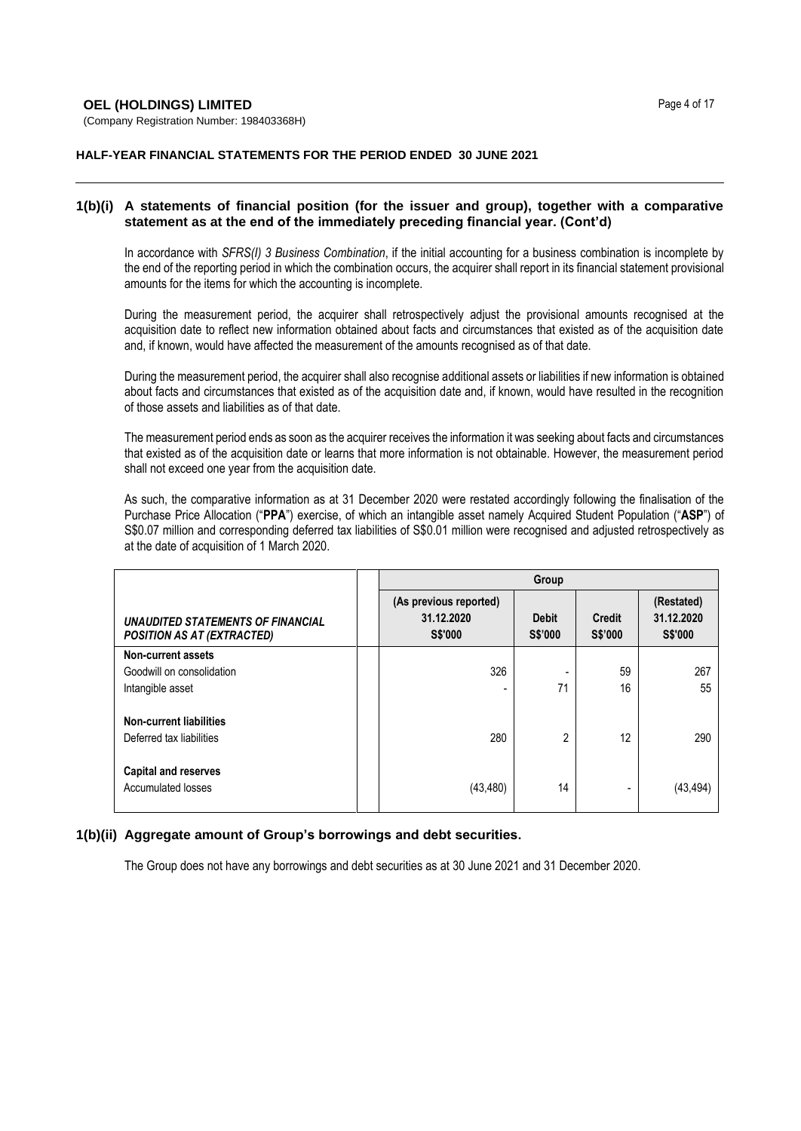(Company Registration Number: 198403368H)

# **HALF-YEAR FINANCIAL STATEMENTS FOR THE PERIOD ENDED 30 JUNE 2021**

### **1(b)(i) A statements of financial position (for the issuer and group), together with a comparative statement as at the end of the immediately preceding financial year. (Cont'd)**

In accordance with *SFRS(I) 3 Business Combination*, if the initial accounting for a business combination is incomplete by the end of the reporting period in which the combination occurs, the acquirer shall report in its financial statement provisional amounts for the items for which the accounting is incomplete.

During the measurement period, the acquirer shall retrospectively adjust the provisional amounts recognised at the acquisition date to reflect new information obtained about facts and circumstances that existed as of the acquisition date and, if known, would have affected the measurement of the amounts recognised as of that date.

During the measurement period, the acquirer shall also recognise additional assets or liabilities if new information is obtained about facts and circumstances that existed as of the acquisition date and, if known, would have resulted in the recognition of those assets and liabilities as of that date.

The measurement period ends as soon as the acquirer receives the information it was seeking about facts and circumstances that existed as of the acquisition date or learns that more information is not obtainable. However, the measurement period shall not exceed one year from the acquisition date.

As such, the comparative information as at 31 December 2020 were restated accordingly following the finalisation of the Purchase Price Allocation ("**PPA**") exercise, of which an intangible asset namely Acquired Student Population ("**ASP**") of S\$0.07 million and corresponding deferred tax liabilities of S\$0.01 million were recognised and adjusted retrospectively as at the date of acquisition of 1 March 2020.

|                                                                        | Group                                                  |                                |                                 |                                            |  |
|------------------------------------------------------------------------|--------------------------------------------------------|--------------------------------|---------------------------------|--------------------------------------------|--|
| UNAUDITED STATEMENTS OF FINANCIAL<br><b>POSITION AS AT (EXTRACTED)</b> | (As previous reported)<br>31.12.2020<br><b>S\$'000</b> | <b>Debit</b><br><b>S\$'000</b> | <b>Credit</b><br><b>S\$'000</b> | (Restated)<br>31.12.2020<br><b>S\$'000</b> |  |
| Non-current assets                                                     |                                                        |                                |                                 |                                            |  |
| Goodwill on consolidation                                              | 326                                                    |                                | 59                              | 267                                        |  |
| Intangible asset                                                       | -                                                      | 71                             | 16                              | 55                                         |  |
| <b>Non-current liabilities</b>                                         |                                                        |                                |                                 |                                            |  |
| Deferred tax liabilities                                               | 280                                                    | $\overline{2}$                 | 12                              | 290                                        |  |
| <b>Capital and reserves</b><br>Accumulated losses                      | (43, 480)                                              | 14                             | $\overline{\phantom{0}}$        | (43, 494)                                  |  |
|                                                                        |                                                        |                                |                                 |                                            |  |

# **1(b)(ii) Aggregate amount of Group's borrowings and debt securities.**

The Group does not have any borrowings and debt securities as at 30 June 2021 and 31 December 2020.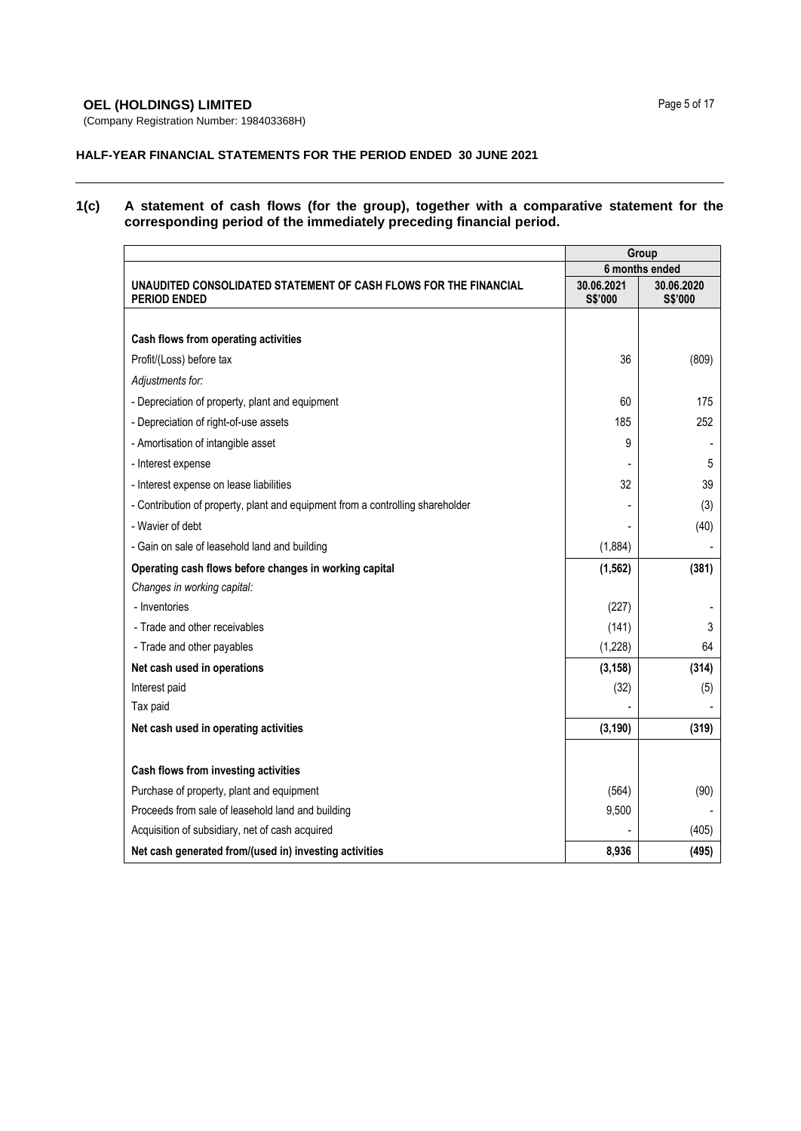# **OEL (HOLDINGS) LIMITED** Page 5 of 17

(Company Registration Number: 198403368H)

# **HALF-YEAR FINANCIAL STATEMENTS FOR THE PERIOD ENDED 30 JUNE 2021**

# **1(c) A statement of cash flows (for the group), together with a comparative statement for the corresponding period of the immediately preceding financial period.**

|                                                                                         | Group                 |                       |
|-----------------------------------------------------------------------------------------|-----------------------|-----------------------|
|                                                                                         |                       | 6 months ended        |
| UNAUDITED CONSOLIDATED STATEMENT OF CASH FLOWS FOR THE FINANCIAL<br><b>PERIOD ENDED</b> | 30.06.2021<br>S\$'000 | 30.06.2020<br>S\$'000 |
|                                                                                         |                       |                       |
| Cash flows from operating activities                                                    |                       |                       |
| Profit/(Loss) before tax                                                                | 36                    | (809)                 |
| Adjustments for:                                                                        |                       |                       |
| - Depreciation of property, plant and equipment                                         | 60                    | 175                   |
| - Depreciation of right-of-use assets                                                   | 185                   | 252                   |
| - Amortisation of intangible asset                                                      | 9                     |                       |
| - Interest expense                                                                      |                       | 5                     |
| - Interest expense on lease liabilities                                                 | 32                    | 39                    |
| - Contribution of property, plant and equipment from a controlling shareholder          |                       | (3)                   |
| - Wavier of debt                                                                        |                       | (40)                  |
| - Gain on sale of leasehold land and building                                           | (1,884)               |                       |
| Operating cash flows before changes in working capital                                  | (1, 562)              | (381)                 |
| Changes in working capital:                                                             |                       |                       |
| - Inventories                                                                           | (227)                 |                       |
| - Trade and other receivables                                                           | (141)                 | 3                     |
| - Trade and other payables                                                              | (1,228)               | 64                    |
| Net cash used in operations                                                             | (3, 158)              | (314)                 |
| Interest paid                                                                           | (32)                  | (5)                   |
| Tax paid                                                                                |                       |                       |
| Net cash used in operating activities                                                   | (3, 190)              | (319)                 |
|                                                                                         |                       |                       |
| Cash flows from investing activities                                                    |                       |                       |
| Purchase of property, plant and equipment                                               | (564)                 | (90)                  |
| Proceeds from sale of leasehold land and building                                       | 9,500                 |                       |
| Acquisition of subsidiary, net of cash acquired                                         |                       | (405)                 |
| Net cash generated from/(used in) investing activities                                  | 8,936                 | (495)                 |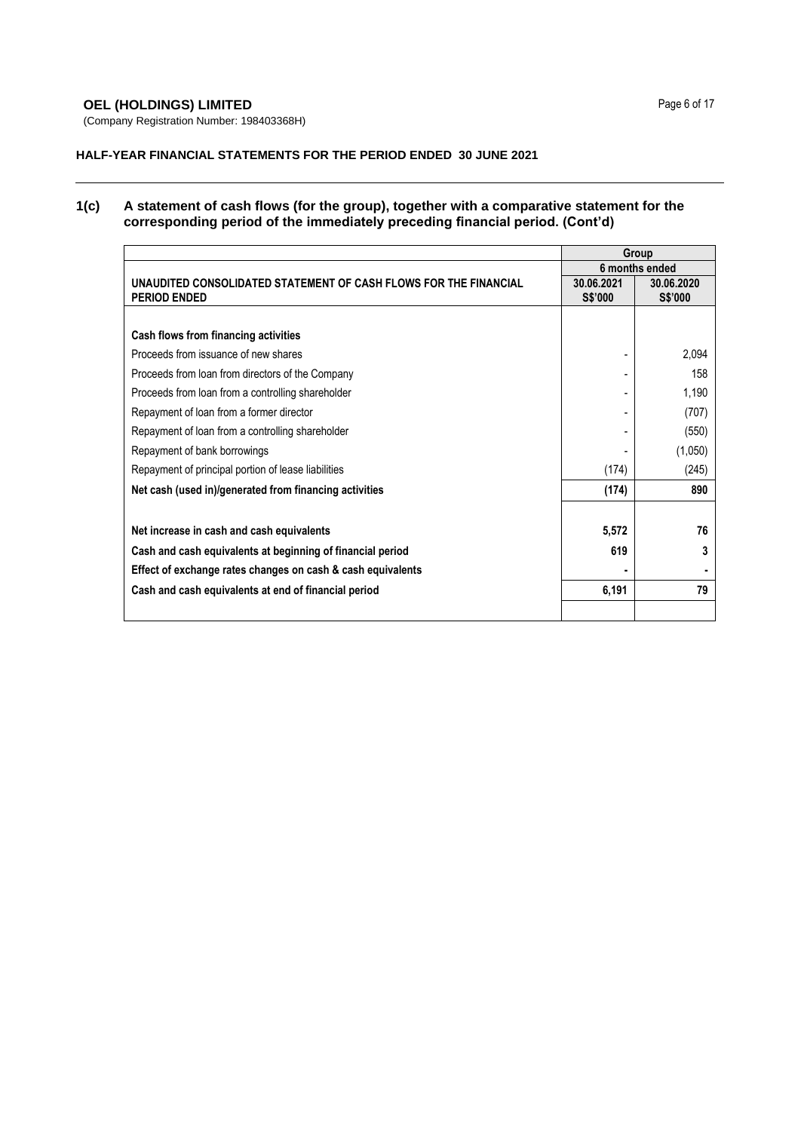# **OEL (HOLDINGS) LIMITED** Page 6 of 17

(Company Registration Number: 198403368H)

# **HALF-YEAR FINANCIAL STATEMENTS FOR THE PERIOD ENDED 30 JUNE 2021**

# **1(c) A statement of cash flows (for the group), together with a comparative statement for the corresponding period of the immediately preceding financial period. (Cont'd)**

|                                                                                         |                       | Group                        |
|-----------------------------------------------------------------------------------------|-----------------------|------------------------------|
|                                                                                         |                       | 6 months ended               |
| UNAUDITED CONSOLIDATED STATEMENT OF CASH FLOWS FOR THE FINANCIAL<br><b>PERIOD ENDED</b> | 30.06.2021<br>S\$'000 | 30.06.2020<br><b>S\$'000</b> |
|                                                                                         |                       |                              |
| Cash flows from financing activities                                                    |                       |                              |
| Proceeds from issuance of new shares                                                    |                       | 2,094                        |
| Proceeds from loan from directors of the Company                                        |                       | 158                          |
| Proceeds from loan from a controlling shareholder                                       |                       | 1,190                        |
| Repayment of loan from a former director                                                |                       | (707)                        |
| Repayment of loan from a controlling shareholder                                        |                       | (550)                        |
| Repayment of bank borrowings                                                            |                       | (1,050)                      |
| Repayment of principal portion of lease liabilities                                     | (174)                 | (245)                        |
| Net cash (used in)/generated from financing activities                                  | (174)                 | 890                          |
|                                                                                         |                       |                              |
| Net increase in cash and cash equivalents                                               | 5,572                 | 76                           |
| Cash and cash equivalents at beginning of financial period                              | 619                   | 3                            |
| Effect of exchange rates changes on cash & cash equivalents                             |                       |                              |
| Cash and cash equivalents at end of financial period                                    | 6,191                 | 79                           |
|                                                                                         |                       |                              |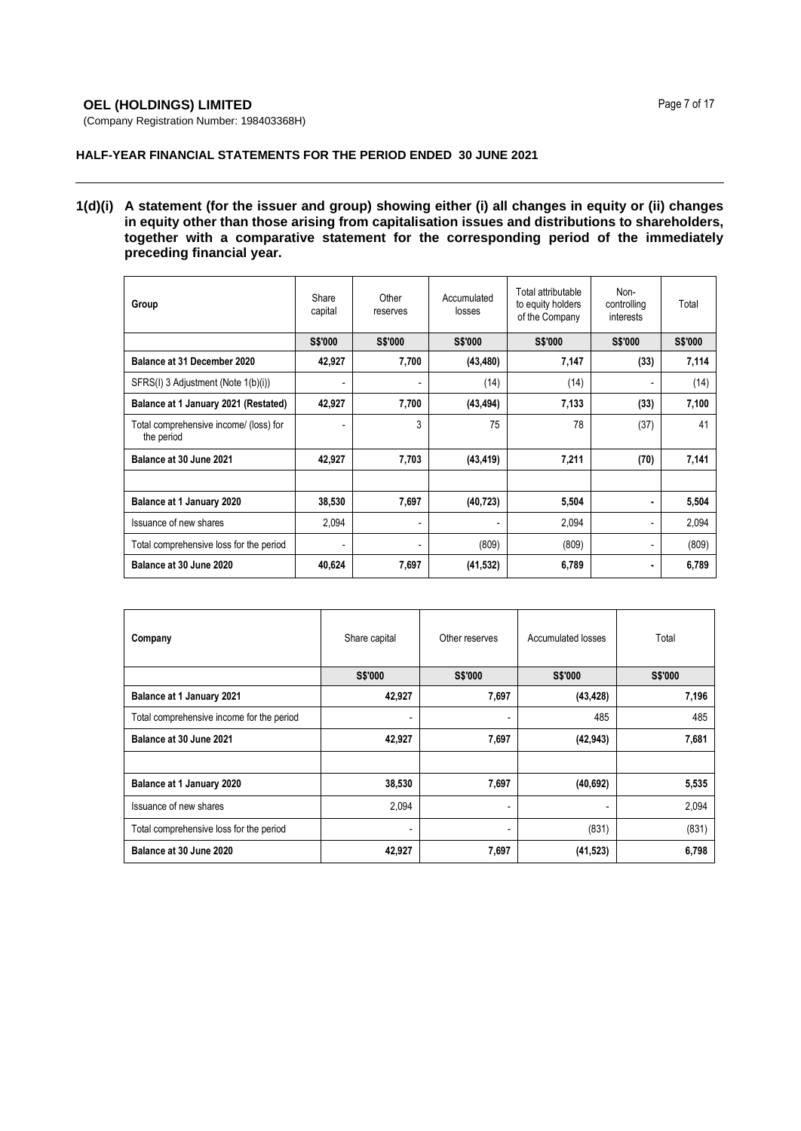# **OEL (HOLDINGS) LIMITED** Page 7 of 17

(Company Registration Number: 198403368H)

# **HALF-YEAR FINANCIAL STATEMENTS FOR THE PERIOD ENDED 30 JUNE 2021**

# **1(d)(i) A statement (for the issuer and group) showing either (i) all changes in equity or (ii) changes in equity other than those arising from capitalisation issues and distributions to shareholders, together with a comparative statement for the corresponding period of the immediately preceding financial year.**

| Group                                                | Share<br>capital         | Other<br>reserves        | Accumulated<br>losses | Total attributable<br>to equity holders<br>of the Company | Non-<br>controlling<br>interests | Total   |
|------------------------------------------------------|--------------------------|--------------------------|-----------------------|-----------------------------------------------------------|----------------------------------|---------|
|                                                      | S\$'000                  | <b>S\$'000</b>           | <b>S\$'000</b>        | <b>S\$'000</b>                                            | <b>S\$'000</b>                   | S\$'000 |
| Balance at 31 December 2020                          | 42,927                   | 7,700                    | (43, 480)             | 7,147                                                     | (33)                             | 7,114   |
| SFRS(I) 3 Adjustment (Note 1(b)(i))                  | $\overline{\phantom{0}}$ | $\overline{\phantom{a}}$ | (14)                  | (14)                                                      |                                  | (14)    |
| Balance at 1 January 2021 (Restated)                 | 42,927                   | 7,700                    | (43, 494)             | 7,133                                                     | (33)                             | 7,100   |
| Total comprehensive income/ (loss) for<br>the period |                          | 3                        | 75                    | 78                                                        | (37)                             | 41      |
| Balance at 30 June 2021                              | 42,927                   | 7,703                    | (43, 419)             | 7,211                                                     | (70)                             | 7,141   |
|                                                      |                          |                          |                       |                                                           |                                  |         |
| Balance at 1 January 2020                            | 38,530                   | 7,697                    | (40, 723)             | 5,504                                                     | ٠                                | 5,504   |
| Issuance of new shares                               | 2,094                    | $\overline{\phantom{a}}$ | ٠                     | 2,094                                                     |                                  | 2,094   |
| Total comprehensive loss for the period              | $\overline{\phantom{0}}$ | $\overline{\phantom{0}}$ | (809)                 | (809)                                                     |                                  | (809)   |
| Balance at 30 June 2020                              | 40,624                   | 7,697                    | (41, 532)             | 6,789                                                     | ٠                                | 6,789   |

| Company                                   | Share capital            | Other reserves           | Accumulated losses | Total   |
|-------------------------------------------|--------------------------|--------------------------|--------------------|---------|
|                                           | S\$'000                  | S\$'000                  | S\$'000            | S\$'000 |
| Balance at 1 January 2021                 | 42,927                   | 7,697                    | (43, 428)          | 7,196   |
| Total comprehensive income for the period | $\overline{\phantom{a}}$ | $\overline{\phantom{a}}$ | 485                | 485     |
| Balance at 30 June 2021                   | 42,927                   | 7,697                    | (42, 943)          | 7,681   |
|                                           |                          |                          |                    |         |
| Balance at 1 January 2020                 | 38,530                   | 7,697                    | (40, 692)          | 5,535   |
| Issuance of new shares                    | 2,094                    | $\overline{\phantom{a}}$ |                    | 2,094   |
| Total comprehensive loss for the period   | $\overline{\phantom{a}}$ |                          | (831)              | (831)   |
| Balance at 30 June 2020                   | 42,927                   | 7,697                    | (41, 523)          | 6,798   |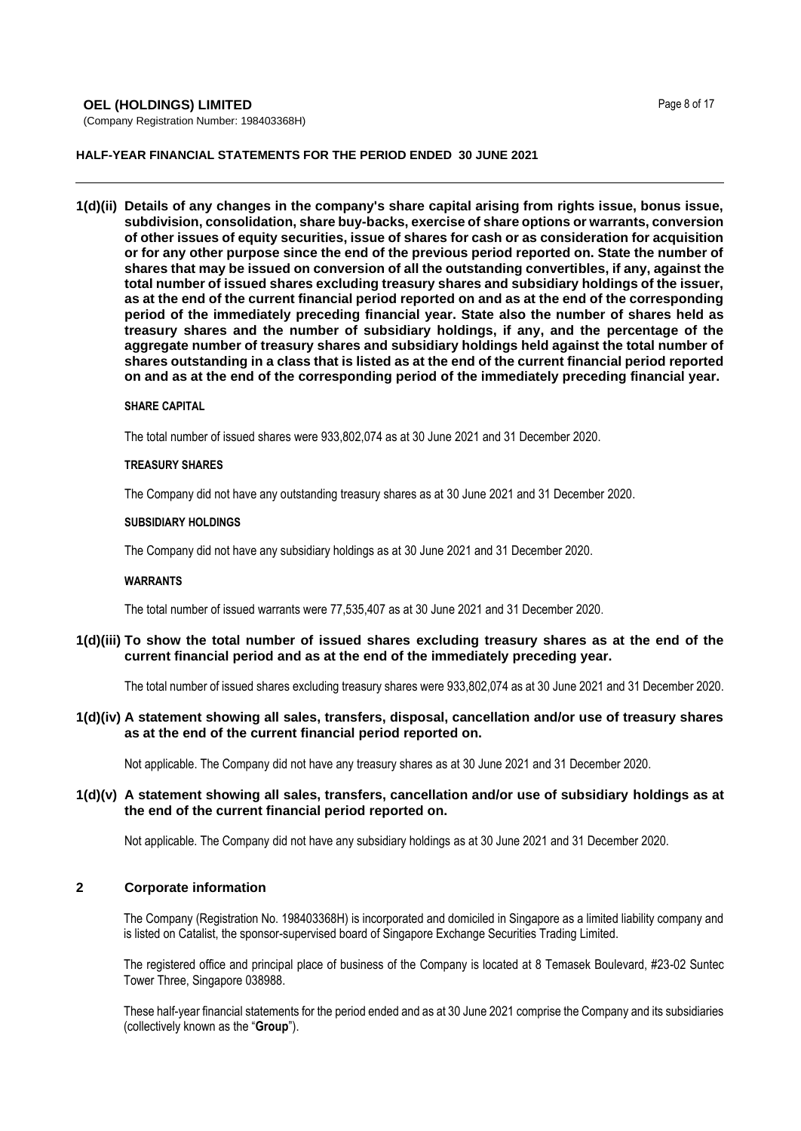### **HALF-YEAR FINANCIAL STATEMENTS FOR THE PERIOD ENDED 30 JUNE 2021**

**1(d)(ii) Details of any changes in the company's share capital arising from rights issue, bonus issue, subdivision, consolidation, share buy-backs, exercise of share options or warrants, conversion of other issues of equity securities, issue of shares for cash or as consideration for acquisition or for any other purpose since the end of the previous period reported on. State the number of shares that may be issued on conversion of all the outstanding convertibles, if any, against the total number of issued shares excluding treasury shares and subsidiary holdings of the issuer, as at the end of the current financial period reported on and as at the end of the corresponding period of the immediately preceding financial year. State also the number of shares held as treasury shares and the number of subsidiary holdings, if any, and the percentage of the aggregate number of treasury shares and subsidiary holdings held against the total number of shares outstanding in a class that is listed as at the end of the current financial period reported on and as at the end of the corresponding period of the immediately preceding financial year.**

## **SHARE CAPITAL**

The total number of issued shares were 933,802,074 as at 30 June 2021 and 31 December 2020.

#### **TREASURY SHARES**

The Company did not have any outstanding treasury shares as at 30 June 2021 and 31 December 2020.

### **SUBSIDIARY HOLDINGS**

The Company did not have any subsidiary holdings as at 30 June 2021 and 31 December 2020.

#### **WARRANTS**

The total number of issued warrants were 77,535,407 as at 30 June 2021 and 31 December 2020.

# **1(d)(iii) To show the total number of issued shares excluding treasury shares as at the end of the current financial period and as at the end of the immediately preceding year.**

The total number of issued shares excluding treasury shares were 933,802,074 as at 30 June 2021 and 31 December 2020.

# **1(d)(iv) A statement showing all sales, transfers, disposal, cancellation and/or use of treasury shares as at the end of the current financial period reported on.**

Not applicable. The Company did not have any treasury shares as at 30 June 2021 and 31 December 2020.

## **1(d)(v) A statement showing all sales, transfers, cancellation and/or use of subsidiary holdings as at the end of the current financial period reported on.**

Not applicable. The Company did not have any subsidiary holdings as at 30 June 2021 and 31 December 2020.

## **2 Corporate information**

The Company (Registration No. 198403368H) is incorporated and domiciled in Singapore as a limited liability company and is listed on Catalist, the sponsor-supervised board of Singapore Exchange Securities Trading Limited.

The registered office and principal place of business of the Company is located at 8 Temasek Boulevard, #23-02 Suntec Tower Three, Singapore 038988.

These half-year financial statements for the period ended and as at 30 June 2021 comprise the Company and its subsidiaries (collectively known as the "**Group**").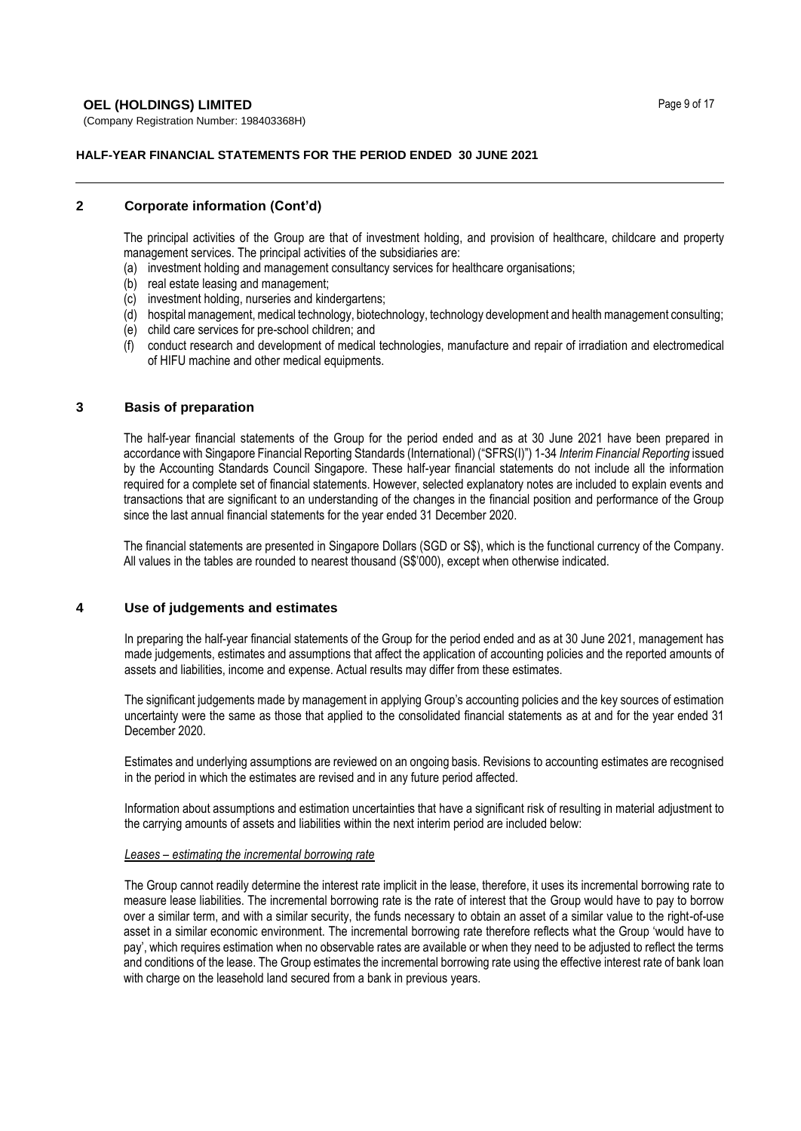# **OEL (HOLDINGS) LIMITED** Page 9 of 17

(Company Registration Number: 198403368H)

# **HALF-YEAR FINANCIAL STATEMENTS FOR THE PERIOD ENDED 30 JUNE 2021**

# **2 Corporate information (Cont'd)**

The principal activities of the Group are that of investment holding, and provision of healthcare, childcare and property management services. The principal activities of the subsidiaries are:

- (a) investment holding and management consultancy services for healthcare organisations;
- (b) real estate leasing and management;
- (c) investment holding, nurseries and kindergartens;
- (d) hospital management, medical technology, biotechnology, technology development and health management consulting;
- (e) child care services for pre-school children; and
- (f) conduct research and development of medical technologies, manufacture and repair of irradiation and electromedical of HIFU machine and other medical equipments.

# **3 Basis of preparation**

The half-year financial statements of the Group for the period ended and as at 30 June 2021 have been prepared in accordance with Singapore Financial Reporting Standards (International) ("SFRS(I)") 1-34 *Interim Financial Reporting* issued by the Accounting Standards Council Singapore. These half-year financial statements do not include all the information required for a complete set of financial statements. However, selected explanatory notes are included to explain events and transactions that are significant to an understanding of the changes in the financial position and performance of the Group since the last annual financial statements for the year ended 31 December 2020.

The financial statements are presented in Singapore Dollars (SGD or S\$), which is the functional currency of the Company. All values in the tables are rounded to nearest thousand (S\$'000), except when otherwise indicated.

# **4 Use of judgements and estimates**

In preparing the half-year financial statements of the Group for the period ended and as at 30 June 2021, management has made judgements, estimates and assumptions that affect the application of accounting policies and the reported amounts of assets and liabilities, income and expense. Actual results may differ from these estimates.

The significant judgements made by management in applying Group's accounting policies and the key sources of estimation uncertainty were the same as those that applied to the consolidated financial statements as at and for the year ended 31 December 2020.

Estimates and underlying assumptions are reviewed on an ongoing basis. Revisions to accounting estimates are recognised in the period in which the estimates are revised and in any future period affected.

Information about assumptions and estimation uncertainties that have a significant risk of resulting in material adjustment to the carrying amounts of assets and liabilities within the next interim period are included below:

#### *Leases – estimating the incremental borrowing rate*

The Group cannot readily determine the interest rate implicit in the lease, therefore, it uses its incremental borrowing rate to measure lease liabilities. The incremental borrowing rate is the rate of interest that the Group would have to pay to borrow over a similar term, and with a similar security, the funds necessary to obtain an asset of a similar value to the right-of-use asset in a similar economic environment. The incremental borrowing rate therefore reflects what the Group 'would have to pay', which requires estimation when no observable rates are available or when they need to be adjusted to reflect the terms and conditions of the lease. The Group estimates the incremental borrowing rate using the effective interest rate of bank loan with charge on the leasehold land secured from a bank in previous years.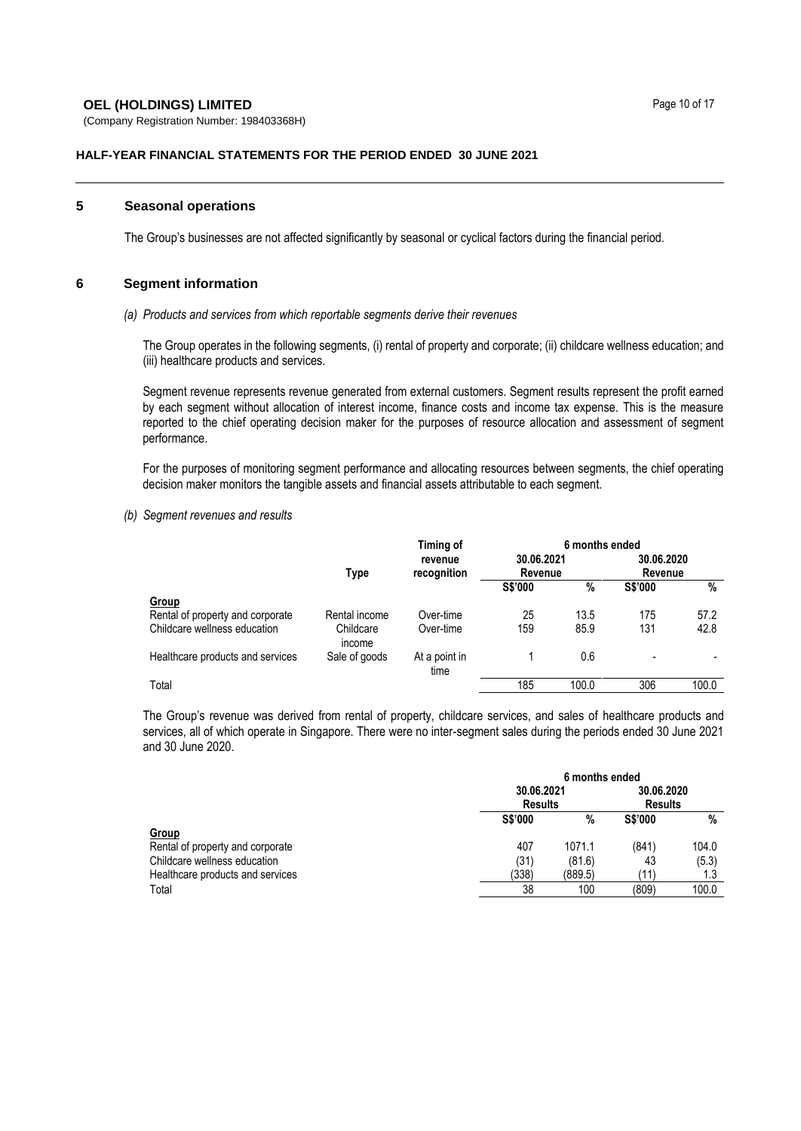# **OEL (HOLDINGS) LIMITED** Page 10 of 17

(Company Registration Number: 198403368H)

# **HALF-YEAR FINANCIAL STATEMENTS FOR THE PERIOD ENDED 30 JUNE 2021**

### **5 Seasonal operations**

The Group's businesses are not affected significantly by seasonal or cyclical factors during the financial period.

#### **6 Segment information**

#### *(a) Products and services from which reportable segments derive their revenues*

The Group operates in the following segments, (i) rental of property and corporate; (ii) childcare wellness education; and (iii) healthcare products and services.

Segment revenue represents revenue generated from external customers. Segment results represent the profit earned by each segment without allocation of interest income, finance costs and income tax expense. This is the measure reported to the chief operating decision maker for the purposes of resource allocation and assessment of segment performance.

For the purposes of monitoring segment performance and allocating resources between segments, the chief operating decision maker monitors the tangible assets and financial assets attributable to each segment.

*(b) Segment revenues and results*

|                                  |                     | Timing of<br>6 months ended |                |                    |                |       |  |
|----------------------------------|---------------------|-----------------------------|----------------|--------------------|----------------|-------|--|
|                                  |                     | revenue                     | 30.06.2021     |                    | 30.06.2020     |       |  |
|                                  | Type                | recognition                 |                | Revenue<br>Revenue |                |       |  |
|                                  |                     |                             | <b>S\$'000</b> | %                  | <b>S\$'000</b> | %     |  |
| Group                            |                     |                             |                |                    |                |       |  |
| Rental of property and corporate | Rental income       | Over-time                   | 25             | 13.5               | 175            | 57.2  |  |
| Childcare wellness education     | Childcare<br>income | Over-time                   | 159            | 85.9               | 131            | 42.8  |  |
| Healthcare products and services | Sale of goods       | At a point in<br>time       |                | 0.6                | -              |       |  |
| Total                            |                     |                             | 185            | 100.0              | 306            | 100.0 |  |

The Group's revenue was derived from rental of property, childcare services, and sales of healthcare products and services, all of which operate in Singapore. There were no inter-segment sales during the periods ended 30 June 2021 and 30 June 2020.

|                                  | 6 months ended |         |                |       |  |
|----------------------------------|----------------|---------|----------------|-------|--|
|                                  | 30.06.2021     |         | 30.06.2020     |       |  |
|                                  | <b>Results</b> |         | <b>Results</b> |       |  |
|                                  | <b>S\$'000</b> | %       | <b>S\$'000</b> | %     |  |
| <b>Group</b>                     |                |         |                |       |  |
| Rental of property and corporate | 407            | 1071.1  | (841)          | 104.0 |  |
| Childcare wellness education     | (31)           | (81.6)  | 43             | (5.3) |  |
| Healthcare products and services | (338)          | (889.5) | (11)           | 1.3   |  |
| Total                            | 38             | 100     | (809)          | 100.0 |  |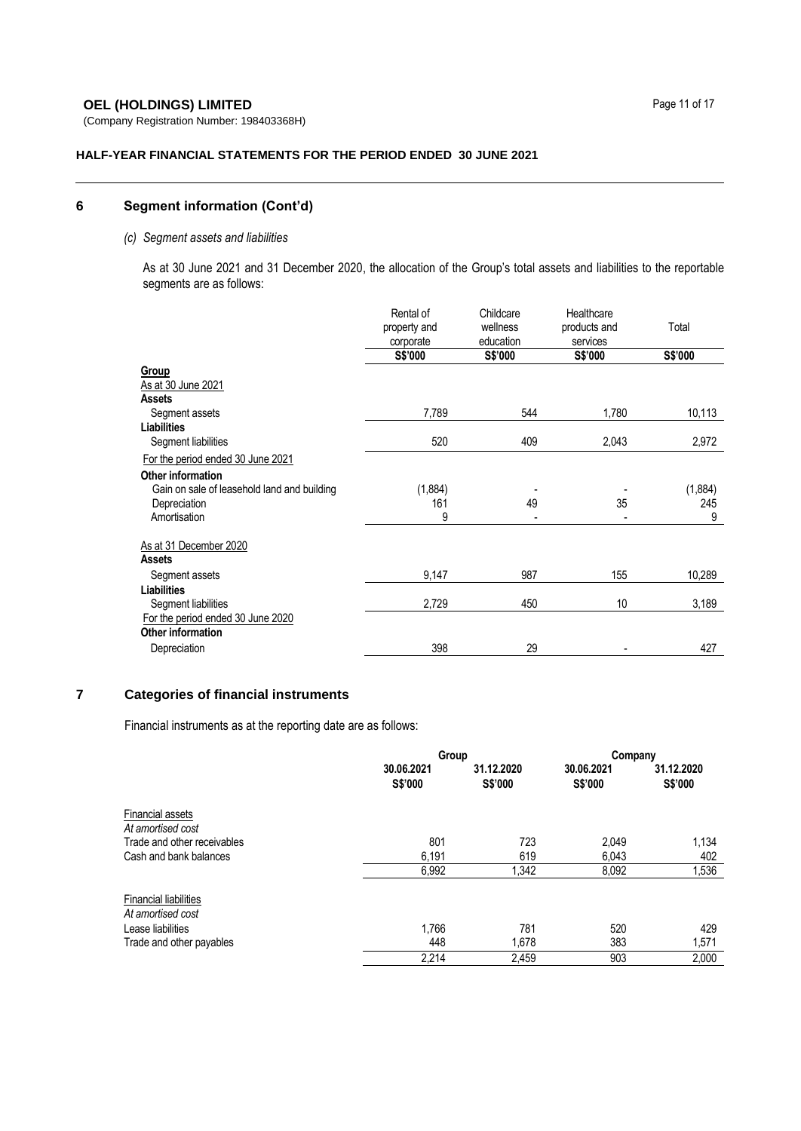# **OEL (HOLDINGS) LIMITED** Page 11 of 17

(Company Registration Number: 198403368H)

# **HALF-YEAR FINANCIAL STATEMENTS FOR THE PERIOD ENDED 30 JUNE 2021**

# **6 Segment information (Cont'd)**

# *(c) Segment assets and liabilities*

As at 30 June 2021 and 31 December 2020, the allocation of the Group's total assets and liabilities to the reportable segments are as follows:

|                                             | Rental of    | Childcare | Healthcare   |         |
|---------------------------------------------|--------------|-----------|--------------|---------|
|                                             | property and | wellness  | products and | Total   |
|                                             | corporate    | education | services     |         |
|                                             | S\$'000      | S\$'000   | S\$'000      | S\$'000 |
| <b>Group</b>                                |              |           |              |         |
| As at 30 June 2021                          |              |           |              |         |
| <b>Assets</b>                               |              |           |              |         |
| Segment assets                              | 7,789        | 544       | 1,780        | 10,113  |
| <b>Liabilities</b>                          |              |           |              |         |
| Segment liabilities                         | 520          | 409       | 2,043        | 2,972   |
| For the period ended 30 June 2021           |              |           |              |         |
| Other information                           |              |           |              |         |
| Gain on sale of leasehold land and building | (1,884)      |           |              | (1,884) |
| Depreciation                                | 161          | 49        | 35           | 245     |
| Amortisation                                | 9            |           |              | 9       |
| As at 31 December 2020                      |              |           |              |         |
| <b>Assets</b>                               |              |           |              |         |
| Segment assets                              | 9,147        | 987       | 155          | 10,289  |
| <b>Liabilities</b>                          |              |           |              |         |
| Segment liabilities                         | 2,729        | 450       | 10           | 3,189   |
| For the period ended 30 June 2020           |              |           |              |         |
| <b>Other information</b>                    |              |           |              |         |
| Depreciation                                | 398          | 29        |              | 427     |

# **7 Categories of financial instruments**

Financial instruments as at the reporting date are as follows:

|                              |                       | Group                 |                       | Company               |
|------------------------------|-----------------------|-----------------------|-----------------------|-----------------------|
|                              | 30.06.2021<br>S\$'000 | 31.12.2020<br>S\$'000 | 30.06.2021<br>S\$'000 | 31.12.2020<br>S\$'000 |
| <b>Financial assets</b>      |                       |                       |                       |                       |
| At amortised cost            |                       |                       |                       |                       |
| Trade and other receivables  | 801                   | 723                   | 2,049                 | 1,134                 |
| Cash and bank balances       | 6,191                 | 619                   | 6,043                 | 402                   |
|                              | 6.992                 | 1.342                 | 8,092                 | 1,536                 |
| <b>Financial liabilities</b> |                       |                       |                       |                       |
| At amortised cost            |                       |                       |                       |                       |
| Lease liabilities            | 1.766                 | 781                   | 520                   | 429                   |
| Trade and other payables     | 448                   | 1.678                 | 383                   | 1,571                 |
|                              | 2,214                 | 2.459                 | 903                   | 2.000                 |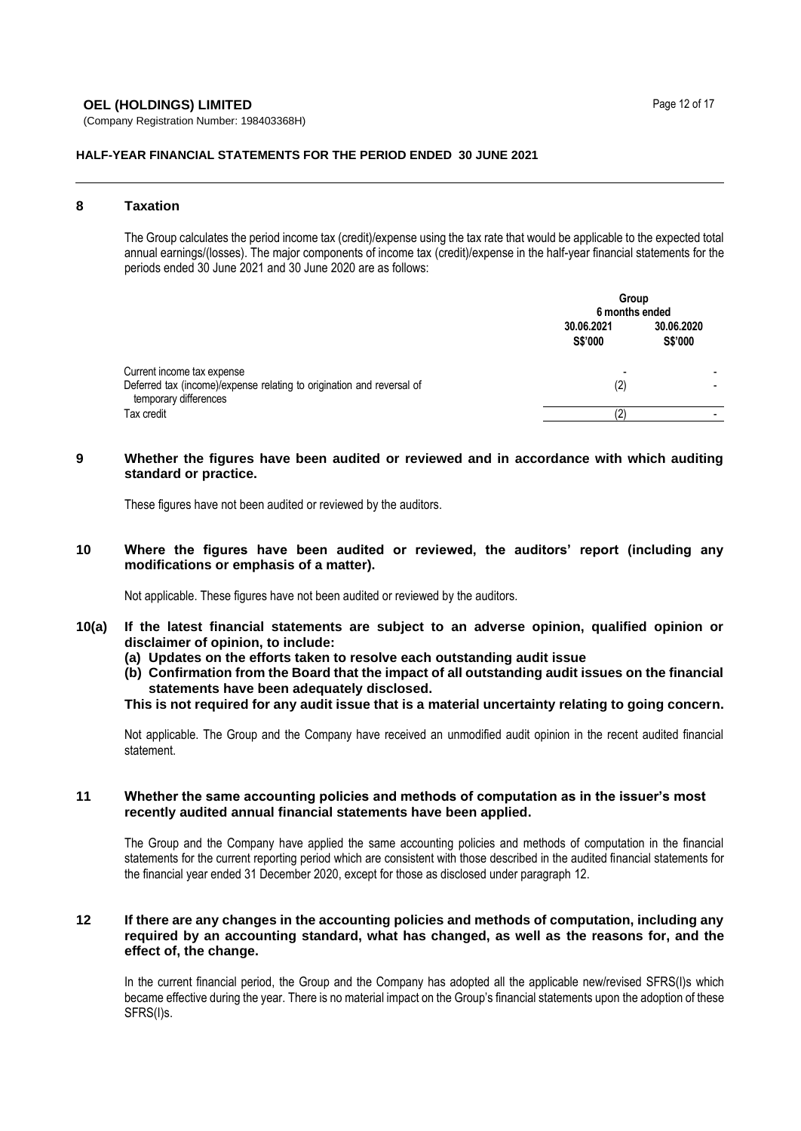# **OEL (HOLDINGS) LIMITED Page 12 of 17**

(Company Registration Number: 198403368H)

# **HALF-YEAR FINANCIAL STATEMENTS FOR THE PERIOD ENDED 30 JUNE 2021**

# **8 Taxation**

The Group calculates the period income tax (credit)/expense using the tax rate that would be applicable to the expected total annual earnings/(losses). The major components of income tax (credit)/expense in the half-year financial statements for the periods ended 30 June 2021 and 30 June 2020 are as follows:

|                                                                                                     |                       | Group<br>6 months ended      |  |
|-----------------------------------------------------------------------------------------------------|-----------------------|------------------------------|--|
|                                                                                                     | 30.06.2021<br>S\$'000 | 30.06.2020<br><b>S\$'000</b> |  |
| Current income tax expense<br>Deferred tax (income)/expense relating to origination and reversal of | -<br>(2)              |                              |  |
| temporary differences<br>Tax credit                                                                 | (2                    |                              |  |

# **9 Whether the figures have been audited or reviewed and in accordance with which auditing standard or practice.**

These figures have not been audited or reviewed by the auditors.

# **10 Where the figures have been audited or reviewed, the auditors' report (including any modifications or emphasis of a matter).**

Not applicable. These figures have not been audited or reviewed by the auditors.

- **10(a) If the latest financial statements are subject to an adverse opinion, qualified opinion or disclaimer of opinion, to include:**
	- **(a) Updates on the efforts taken to resolve each outstanding audit issue**
	- **(b) Confirmation from the Board that the impact of all outstanding audit issues on the financial statements have been adequately disclosed.**

#### **This is not required for any audit issue that is a material uncertainty relating to going concern.**

Not applicable. The Group and the Company have received an unmodified audit opinion in the recent audited financial statement.

### **11 Whether the same accounting policies and methods of computation as in the issuer's most recently audited annual financial statements have been applied.**

The Group and the Company have applied the same accounting policies and methods of computation in the financial statements for the current reporting period which are consistent with those described in the audited financial statements for the financial year ended 31 December 2020, except for those as disclosed under paragraph 12.

# **12 If there are any changes in the accounting policies and methods of computation, including any required by an accounting standard, what has changed, as well as the reasons for, and the effect of, the change.**

In the current financial period, the Group and the Company has adopted all the applicable new/revised SFRS(I)s which became effective during the year. There is no material impact on the Group's financial statements upon the adoption of these SFRS(I)s.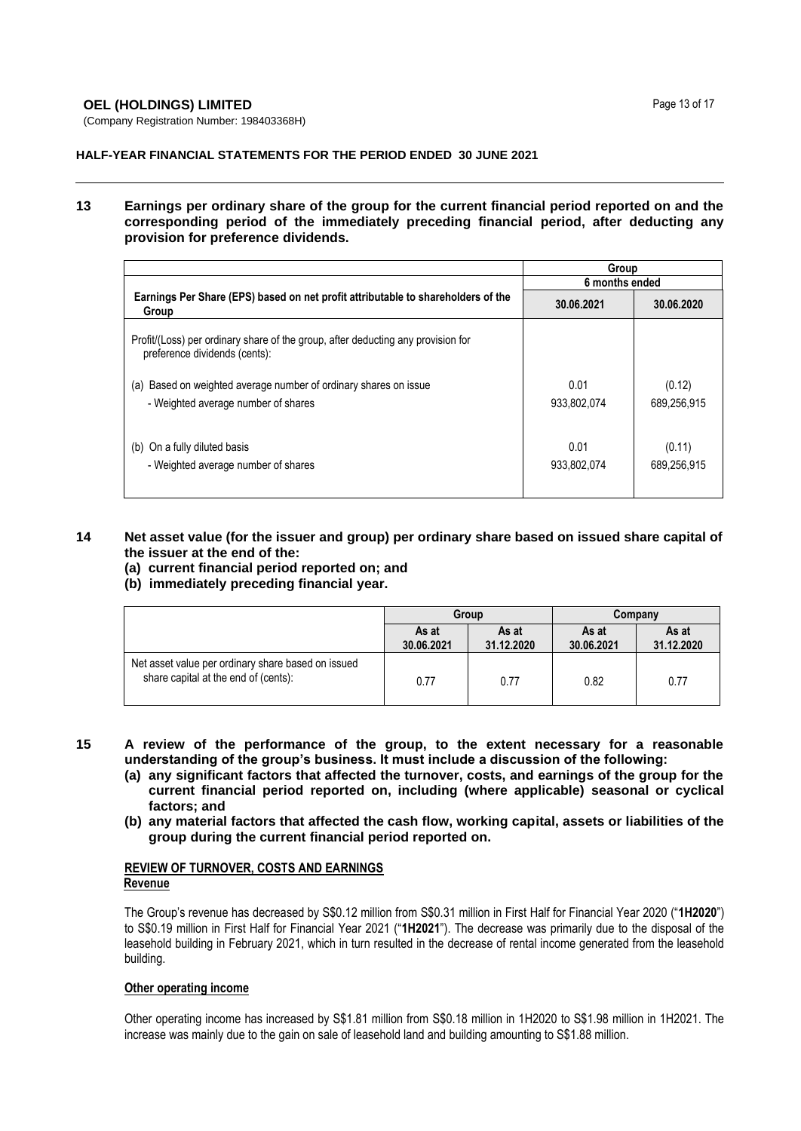# **OEL (HOLDINGS) LIMITED Page 13 of 17**

(Company Registration Number: 198403368H)

# **HALF-YEAR FINANCIAL STATEMENTS FOR THE PERIOD ENDED 30 JUNE 2021**

# **13 Earnings per ordinary share of the group for the current financial period reported on and the corresponding period of the immediately preceding financial period, after deducting any provision for preference dividends.**

|                                                                                                                   | Group               |                       |  |
|-------------------------------------------------------------------------------------------------------------------|---------------------|-----------------------|--|
|                                                                                                                   | 6 months ended      |                       |  |
| Earnings Per Share (EPS) based on net profit attributable to shareholders of the<br>Group                         | 30.06.2021          | 30.06.2020            |  |
| Profit/(Loss) per ordinary share of the group, after deducting any provision for<br>preference dividends (cents): |                     |                       |  |
| (a) Based on weighted average number of ordinary shares on issue<br>- Weighted average number of shares           | 0.01<br>933,802,074 | (0.12)<br>689,256,915 |  |
| (b) On a fully diluted basis<br>- Weighted average number of shares                                               | 0.01<br>933.802.074 | (0.11)<br>689.256.915 |  |

# **14 Net asset value (for the issuer and group) per ordinary share based on issued share capital of the issuer at the end of the:**

- **(a) current financial period reported on; and**
- **(b) immediately preceding financial year.**

|                                                                                            | Group               |                     | Company             |                     |
|--------------------------------------------------------------------------------------------|---------------------|---------------------|---------------------|---------------------|
|                                                                                            | As at<br>30.06.2021 | As at<br>31.12.2020 | As at<br>30.06.2021 | As at<br>31.12.2020 |
| Net asset value per ordinary share based on issued<br>share capital at the end of (cents): | 0.77                | 0.77                | 0.82                | 0.77                |

- **(a) any significant factors that affected the turnover, costs, and earnings of the group for the current financial period reported on, including (where applicable) seasonal or cyclical factors; and**
- **(b) any material factors that affected the cash flow, working capital, assets or liabilities of the group during the current financial period reported on.**

### **REVIEW OF TURNOVER, COSTS AND EARNINGS Revenue**

The Group's revenue has decreased by S\$0.12 million from S\$0.31 million in First Half for Financial Year 2020 ("**1H2020**") to S\$0.19 million in First Half for Financial Year 2021 ("**1H2021**"). The decrease was primarily due to the disposal of the leasehold building in February 2021, which in turn resulted in the decrease of rental income generated from the leasehold building.

# **Other operating income**

Other operating income has increased by S\$1.81 million from S\$0.18 million in 1H2020 to S\$1.98 million in 1H2021. The increase was mainly due to the gain on sale of leasehold land and building amounting to S\$1.88 million.

**<sup>15</sup> A review of the performance of the group, to the extent necessary for a reasonable understanding of the group's business. It must include a discussion of the following:**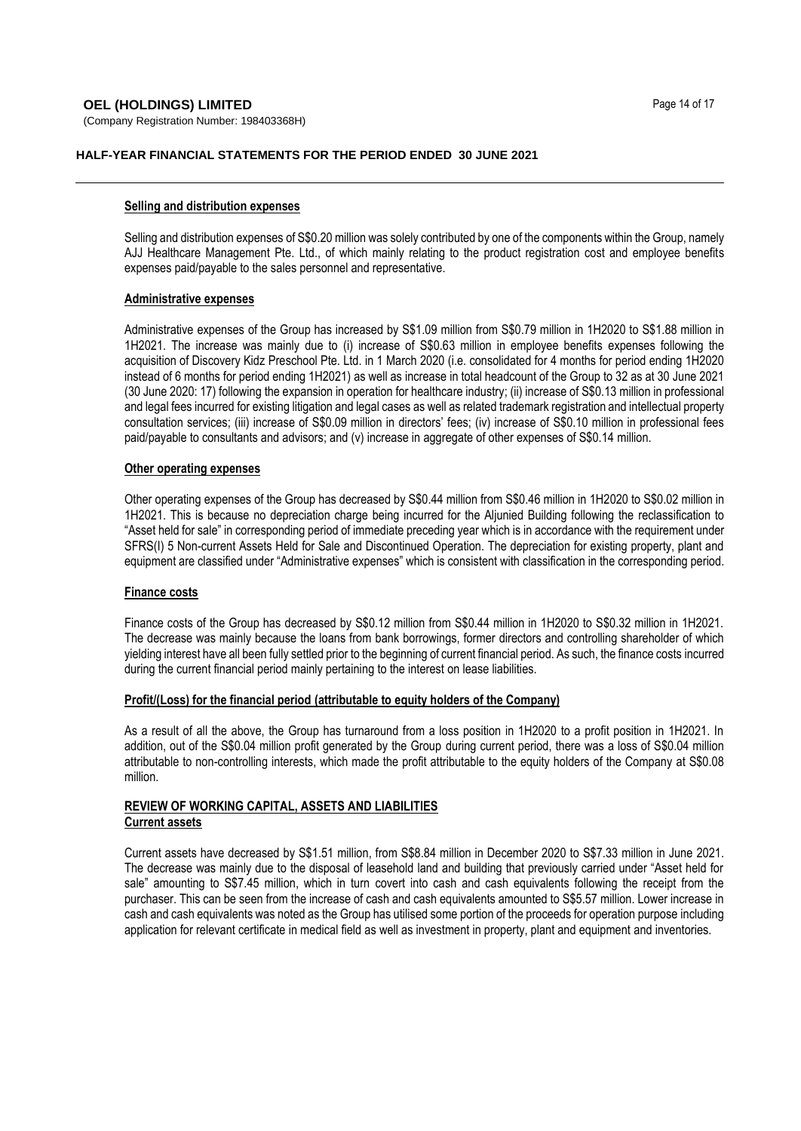# **OEL (HOLDINGS) LIMITED** Page 14 of 17

(Company Registration Number: 198403368H)

# **HALF-YEAR FINANCIAL STATEMENTS FOR THE PERIOD ENDED 30 JUNE 2021**

#### **Selling and distribution expenses**

Selling and distribution expenses of S\$0.20 million was solely contributed by one of the components within the Group, namely AJJ Healthcare Management Pte. Ltd., of which mainly relating to the product registration cost and employee benefits expenses paid/payable to the sales personnel and representative.

# **Administrative expenses**

Administrative expenses of the Group has increased by S\$1.09 million from S\$0.79 million in 1H2020 to S\$1.88 million in 1H2021. The increase was mainly due to (i) increase of S\$0.63 million in employee benefits expenses following the acquisition of Discovery Kidz Preschool Pte. Ltd. in 1 March 2020 (i.e. consolidated for 4 months for period ending 1H2020 instead of 6 months for period ending 1H2021) as well as increase in total headcount of the Group to 32 as at 30 June 2021 (30 June 2020: 17) following the expansion in operation for healthcare industry; (ii) increase of S\$0.13 million in professional and legal fees incurred for existing litigation and legal cases as well as related trademark registration and intellectual property consultation services; (iii) increase of S\$0.09 million in directors' fees; (iv) increase of S\$0.10 million in professional fees paid/payable to consultants and advisors; and (v) increase in aggregate of other expenses of S\$0.14 million.

#### **Other operating expenses**

Other operating expenses of the Group has decreased by S\$0.44 million from S\$0.46 million in 1H2020 to S\$0.02 million in 1H2021. This is because no depreciation charge being incurred for the Aljunied Building following the reclassification to "Asset held for sale" in corresponding period of immediate preceding year which is in accordance with the requirement under SFRS(I) 5 Non-current Assets Held for Sale and Discontinued Operation. The depreciation for existing property, plant and equipment are classified under "Administrative expenses" which is consistent with classification in the corresponding period.

#### **Finance costs**

Finance costs of the Group has decreased by S\$0.12 million from S\$0.44 million in 1H2020 to S\$0.32 million in 1H2021. The decrease was mainly because the loans from bank borrowings, former directors and controlling shareholder of which yielding interest have all been fully settled prior to the beginning of current financial period. As such, the finance costs incurred during the current financial period mainly pertaining to the interest on lease liabilities.

#### **Profit/(Loss) for the financial period (attributable to equity holders of the Company)**

As a result of all the above, the Group has turnaround from a loss position in 1H2020 to a profit position in 1H2021. In addition, out of the S\$0.04 million profit generated by the Group during current period, there was a loss of S\$0.04 million attributable to non-controlling interests, which made the profit attributable to the equity holders of the Company at S\$0.08 million.

# **REVIEW OF WORKING CAPITAL, ASSETS AND LIABILITIES Current assets**

Current assets have decreased by S\$1.51 million, from S\$8.84 million in December 2020 to S\$7.33 million in June 2021. The decrease was mainly due to the disposal of leasehold land and building that previously carried under "Asset held for sale" amounting to S\$7.45 million, which in turn covert into cash and cash equivalents following the receipt from the purchaser. This can be seen from the increase of cash and cash equivalents amounted to S\$5.57 million. Lower increase in cash and cash equivalents was noted as the Group has utilised some portion of the proceeds for operation purpose including application for relevant certificate in medical field as well as investment in property, plant and equipment and inventories.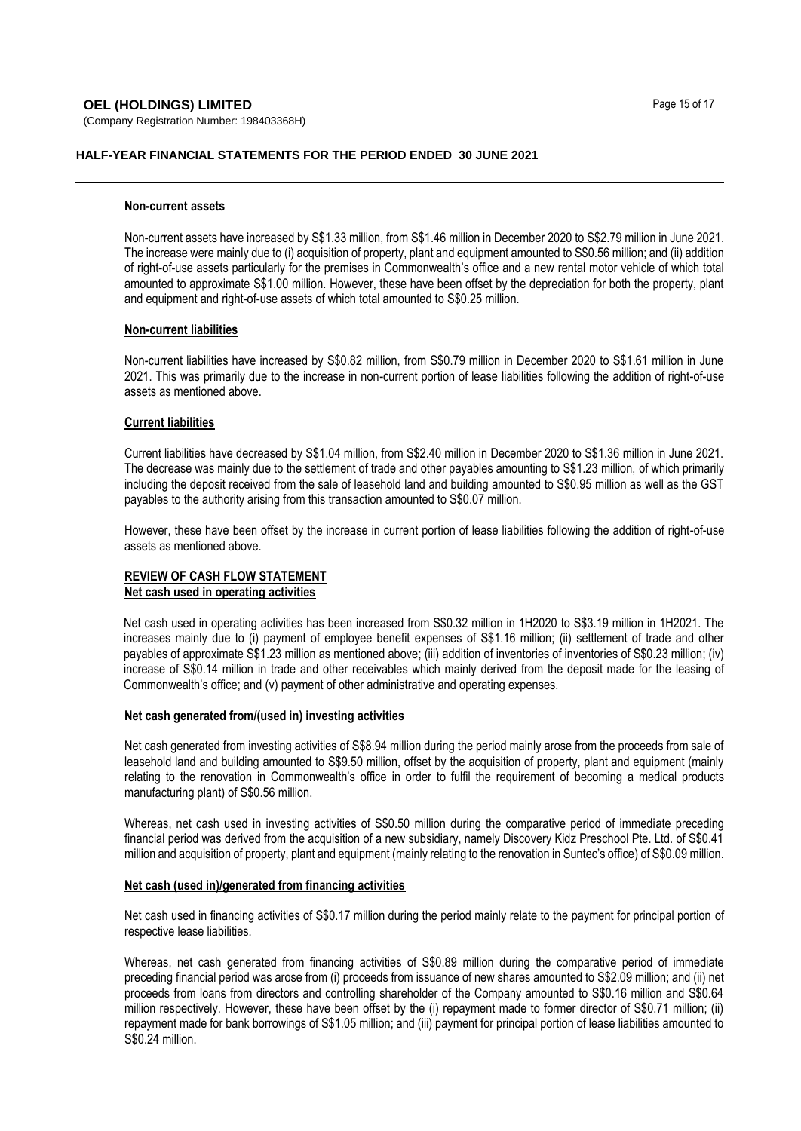# **OEL (HOLDINGS) LIMITED** Page 15 of 17

(Company Registration Number: 198403368H)

# **HALF-YEAR FINANCIAL STATEMENTS FOR THE PERIOD ENDED 30 JUNE 2021**

#### **Non-current assets**

Non-current assets have increased by S\$1.33 million, from S\$1.46 million in December 2020 to S\$2.79 million in June 2021. The increase were mainly due to (i) acquisition of property, plant and equipment amounted to S\$0.56 million; and (ii) addition of right-of-use assets particularly for the premises in Commonwealth's office and a new rental motor vehicle of which total amounted to approximate S\$1.00 million. However, these have been offset by the depreciation for both the property, plant and equipment and right-of-use assets of which total amounted to S\$0.25 million.

## **Non-current liabilities**

Non-current liabilities have increased by S\$0.82 million, from S\$0.79 million in December 2020 to S\$1.61 million in June 2021. This was primarily due to the increase in non-current portion of lease liabilities following the addition of right-of-use assets as mentioned above.

## **Current liabilities**

Current liabilities have decreased by S\$1.04 million, from S\$2.40 million in December 2020 to S\$1.36 million in June 2021. The decrease was mainly due to the settlement of trade and other payables amounting to S\$1.23 million, of which primarily including the deposit received from the sale of leasehold land and building amounted to S\$0.95 million as well as the GST payables to the authority arising from this transaction amounted to S\$0.07 million.

However, these have been offset by the increase in current portion of lease liabilities following the addition of right-of-use assets as mentioned above.

# **REVIEW OF CASH FLOW STATEMENT Net cash used in operating activities**

Net cash used in operating activities has been increased from S\$0.32 million in 1H2020 to S\$3.19 million in 1H2021. The increases mainly due to (i) payment of employee benefit expenses of S\$1.16 million; (ii) settlement of trade and other payables of approximate S\$1.23 million as mentioned above; (iii) addition of inventories of inventories of S\$0.23 million; (iv) increase of S\$0.14 million in trade and other receivables which mainly derived from the deposit made for the leasing of Commonwealth's office; and (v) payment of other administrative and operating expenses.

#### **Net cash generated from/(used in) investing activities**

Net cash generated from investing activities of S\$8.94 million during the period mainly arose from the proceeds from sale of leasehold land and building amounted to S\$9.50 million, offset by the acquisition of property, plant and equipment (mainly relating to the renovation in Commonwealth's office in order to fulfil the requirement of becoming a medical products manufacturing plant) of S\$0.56 million.

Whereas, net cash used in investing activities of S\$0.50 million during the comparative period of immediate preceding financial period was derived from the acquisition of a new subsidiary, namely Discovery Kidz Preschool Pte. Ltd. of S\$0.41 million and acquisition of property, plant and equipment (mainly relating to the renovation in Suntec's office) of S\$0.09 million.

#### **Net cash (used in)/generated from financing activities**

Net cash used in financing activities of S\$0.17 million during the period mainly relate to the payment for principal portion of respective lease liabilities.

Whereas, net cash generated from financing activities of S\$0.89 million during the comparative period of immediate preceding financial period was arose from (i) proceeds from issuance of new shares amounted to S\$2.09 million; and (ii) net proceeds from loans from directors and controlling shareholder of the Company amounted to S\$0.16 million and S\$0.64 million respectively. However, these have been offset by the (i) repayment made to former director of S\$0.71 million; (ii) repayment made for bank borrowings of S\$1.05 million; and (iii) payment for principal portion of lease liabilities amounted to S\$0.24 million.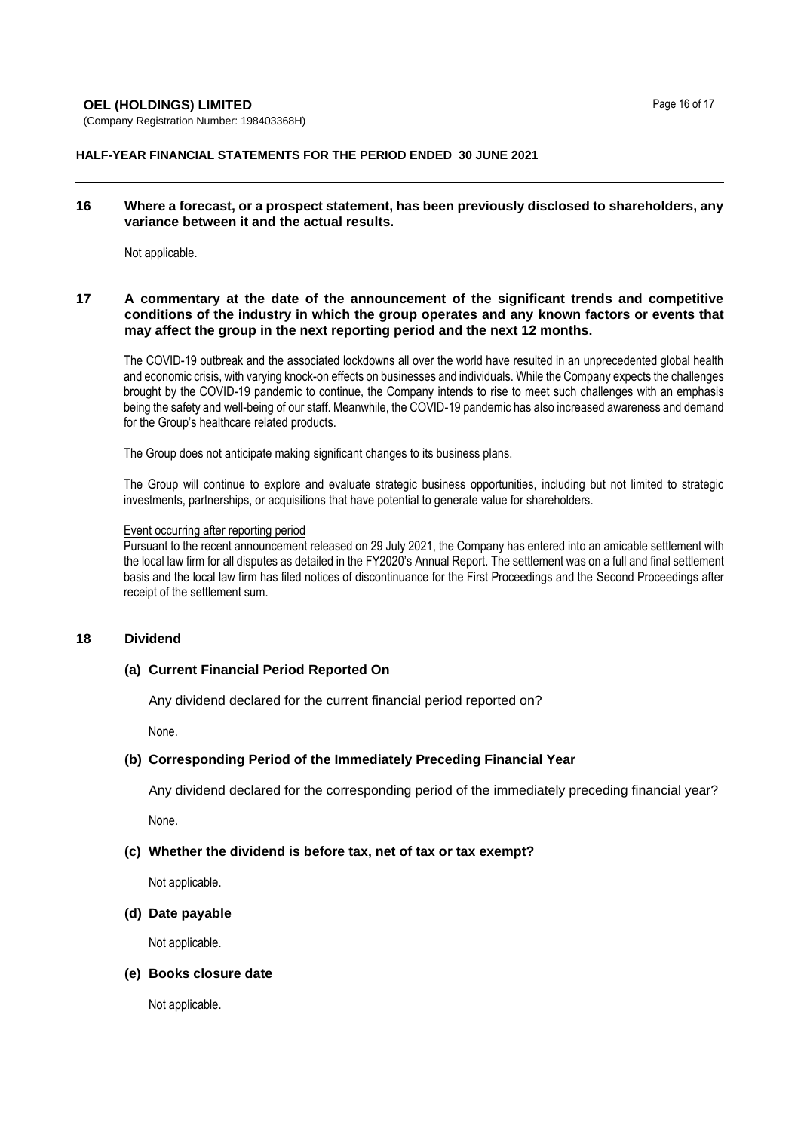# **OEL (HOLDINGS) LIMITED Page 16 of 17**

(Company Registration Number: 198403368H)

## **HALF-YEAR FINANCIAL STATEMENTS FOR THE PERIOD ENDED 30 JUNE 2021**

#### **16 Where a forecast, or a prospect statement, has been previously disclosed to shareholders, any variance between it and the actual results.**

Not applicable.

# **17 A commentary at the date of the announcement of the significant trends and competitive conditions of the industry in which the group operates and any known factors or events that may affect the group in the next reporting period and the next 12 months.**

The COVID-19 outbreak and the associated lockdowns all over the world have resulted in an unprecedented global health and economic crisis, with varying knock-on effects on businesses and individuals. While the Company expects the challenges brought by the COVID-19 pandemic to continue, the Company intends to rise to meet such challenges with an emphasis being the safety and well-being of our staff. Meanwhile, the COVID-19 pandemic has also increased awareness and demand for the Group's healthcare related products.

The Group does not anticipate making significant changes to its business plans.

The Group will continue to explore and evaluate strategic business opportunities, including but not limited to strategic investments, partnerships, or acquisitions that have potential to generate value for shareholders.

#### Event occurring after reporting period

Pursuant to the recent announcement released on 29 July 2021, the Company has entered into an amicable settlement with the local law firm for all disputes as detailed in the FY2020's Annual Report. The settlement was on a full and final settlement basis and the local law firm has filed notices of discontinuance for the First Proceedings and the Second Proceedings after receipt of the settlement sum.

# **18 Dividend**

## **(a) Current Financial Period Reported On**

Any dividend declared for the current financial period reported on?

None.

# **(b) Corresponding Period of the Immediately Preceding Financial Year**

Any dividend declared for the corresponding period of the immediately preceding financial year?

None.

#### **(c) Whether the dividend is before tax, net of tax or tax exempt?**

Not applicable.

#### **(d) Date payable**

Not applicable.

# **(e) Books closure date**

Not applicable.